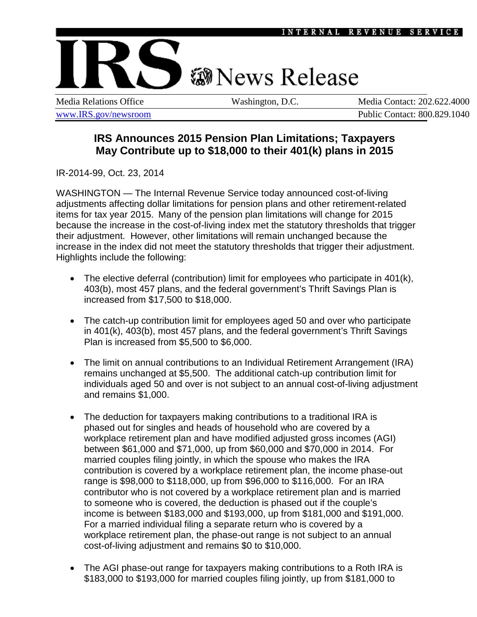

**IRS Announces 2015 Pension Plan Limitations; Taxpayers May Contribute up to \$18,000 to their 401(k) plans in 2015**

IR-2014-99, Oct. 23, 2014

WASHINGTON — The Internal Revenue Service today announced cost-of-living adjustments affecting dollar limitations for pension plans and other retirement-related items for tax year 2015. Many of the pension plan limitations will change for 2015 because the increase in the cost-of-living index met the statutory thresholds that trigger their adjustment. However, other limitations will remain unchanged because the increase in the index did not meet the statutory thresholds that trigger their adjustment. Highlights include the following:

- The elective deferral (contribution) limit for employees who participate in 401(k), 403(b), most 457 plans, and the federal government's Thrift Savings Plan is increased from \$17,500 to \$18,000.
- The catch-up contribution limit for employees aged 50 and over who participate in 401(k), 403(b), most 457 plans, and the federal government's Thrift Savings Plan is increased from \$5,500 to \$6,000.
- The limit on annual contributions to an Individual Retirement Arrangement (IRA) remains unchanged at \$5,500. The additional catch-up contribution limit for individuals aged 50 and over is not subject to an annual cost-of-living adjustment and remains \$1,000.
- The deduction for taxpayers making contributions to a traditional IRA is phased out for singles and heads of household who are covered by a workplace retirement plan and have modified adjusted gross incomes (AGI) between \$61,000 and \$71,000, up from \$60,000 and \$70,000 in 2014. For married couples filing jointly, in which the spouse who makes the IRA contribution is covered by a workplace retirement plan, the income phase-out range is \$98,000 to \$118,000, up from \$96,000 to \$116,000. For an IRA contributor who is not covered by a workplace retirement plan and is married to someone who is covered, the deduction is phased out if the couple's income is between \$183,000 and \$193,000, up from \$181,000 and \$191,000. For a married individual filing a separate return who is covered by a workplace retirement plan, the phase-out range is not subject to an annual cost-of-living adjustment and remains \$0 to \$10,000.
- The AGI phase-out range for taxpayers making contributions to a Roth IRA is \$183,000 to \$193,000 for married couples filing jointly, up from \$181,000 to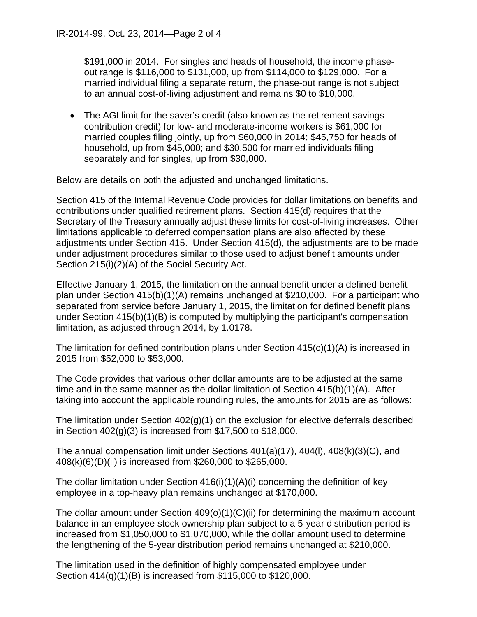\$191,000 in 2014. For singles and heads of household, the income phaseout range is \$116,000 to \$131,000, up from \$114,000 to \$129,000. For a married individual filing a separate return, the phase-out range is not subject to an annual cost-of-living adjustment and remains \$0 to \$10,000.

• The AGI limit for the saver's credit (also known as the retirement savings contribution credit) for low- and moderate-income workers is \$61,000 for married couples filing jointly, up from \$60,000 in 2014; \$45,750 for heads of household, up from \$45,000; and \$30,500 for married individuals filing separately and for singles, up from \$30,000.

Below are details on both the adjusted and unchanged limitations.

Section 415 of the Internal Revenue Code provides for dollar limitations on benefits and contributions under qualified retirement plans. Section 415(d) requires that the Secretary of the Treasury annually adjust these limits for cost-of-living increases. Other limitations applicable to deferred compensation plans are also affected by these adjustments under Section 415. Under Section 415(d), the adjustments are to be made under adjustment procedures similar to those used to adjust benefit amounts under Section 215(i)(2)(A) of the Social Security Act.

Effective January 1, 2015, the limitation on the annual benefit under a defined benefit plan under Section 415(b)(1)(A) remains unchanged at \$210,000. For a participant who separated from service before January 1, 2015, the limitation for defined benefit plans under Section 415(b)(1)(B) is computed by multiplying the participant's compensation limitation, as adjusted through 2014, by 1.0178.

The limitation for defined contribution plans under Section 415(c)(1)(A) is increased in 2015 from \$52,000 to \$53,000.

The Code provides that various other dollar amounts are to be adjusted at the same time and in the same manner as the dollar limitation of Section 415(b)(1)(A). After taking into account the applicable rounding rules, the amounts for 2015 are as follows:

The limitation under Section 402(g)(1) on the exclusion for elective deferrals described in Section 402(g)(3) is increased from \$17,500 to \$18,000.

The annual compensation limit under Sections 401(a)(17), 404(l), 408(k)(3)(C), and 408(k)(6)(D)(ii) is increased from \$260,000 to \$265,000.

The dollar limitation under Section 416(i)(1)(A)(i) concerning the definition of key employee in a top-heavy plan remains unchanged at \$170,000.

The dollar amount under Section  $409(0)(1)(C)(ii)$  for determining the maximum account balance in an employee stock ownership plan subject to a 5-year distribution period is increased from \$1,050,000 to \$1,070,000, while the dollar amount used to determine the lengthening of the 5-year distribution period remains unchanged at \$210,000.

The limitation used in the definition of highly compensated employee under Section 414(q)(1)(B) is increased from \$115,000 to \$120,000.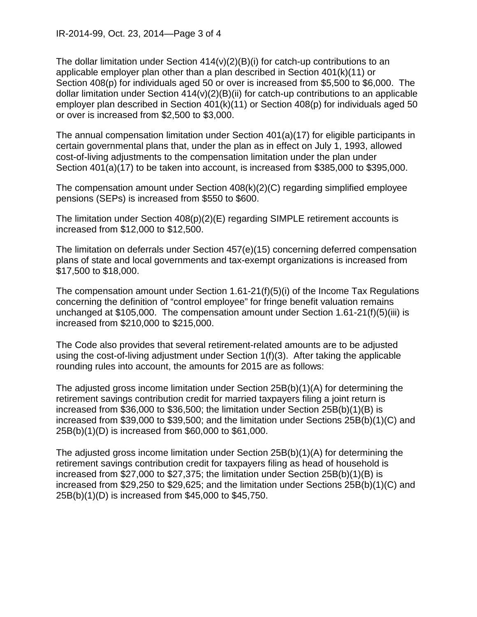The dollar limitation under Section  $414(v)(2)(B)(i)$  for catch-up contributions to an applicable employer plan other than a plan described in Section 401(k)(11) or Section 408(p) for individuals aged 50 or over is increased from \$5,500 to \$6,000. The dollar limitation under Section  $414(v)(2)(B)(ii)$  for catch-up contributions to an applicable employer plan described in Section 401(k)(11) or Section 408(p) for individuals aged 50 or over is increased from \$2,500 to \$3,000.

The annual compensation limitation under Section 401(a)(17) for eligible participants in certain governmental plans that, under the plan as in effect on July 1, 1993, allowed cost-of-living adjustments to the compensation limitation under the plan under Section 401(a)(17) to be taken into account, is increased from \$385,000 to \$395,000.

The compensation amount under Section 408(k)(2)(C) regarding simplified employee pensions (SEPs) is increased from \$550 to \$600.

The limitation under Section 408(p)(2)(E) regarding SIMPLE retirement accounts is increased from \$12,000 to \$12,500.

The limitation on deferrals under Section 457(e)(15) concerning deferred compensation plans of state and local governments and tax-exempt organizations is increased from \$17,500 to \$18,000.

The compensation amount under Section 1.61-21(f)(5)(i) of the Income Tax Regulations concerning the definition of "control employee" for fringe benefit valuation remains unchanged at \$105,000. The compensation amount under Section 1.61-21(f)(5)(iii) is increased from \$210,000 to \$215,000.

The Code also provides that several retirement-related amounts are to be adjusted using the cost-of-living adjustment under Section 1(f)(3). After taking the applicable rounding rules into account, the amounts for 2015 are as follows:

The adjusted gross income limitation under Section 25B(b)(1)(A) for determining the retirement savings contribution credit for married taxpayers filing a joint return is increased from \$36,000 to \$36,500; the limitation under Section 25B(b)(1)(B) is increased from \$39,000 to \$39,500; and the limitation under Sections 25B(b)(1)(C) and 25B(b)(1)(D) is increased from \$60,000 to \$61,000.

The adjusted gross income limitation under Section 25B(b)(1)(A) for determining the retirement savings contribution credit for taxpayers filing as head of household is increased from \$27,000 to \$27,375; the limitation under Section 25B(b)(1)(B) is increased from \$29,250 to \$29,625; and the limitation under Sections 25B(b)(1)(C) and 25B(b)(1)(D) is increased from \$45,000 to \$45,750.